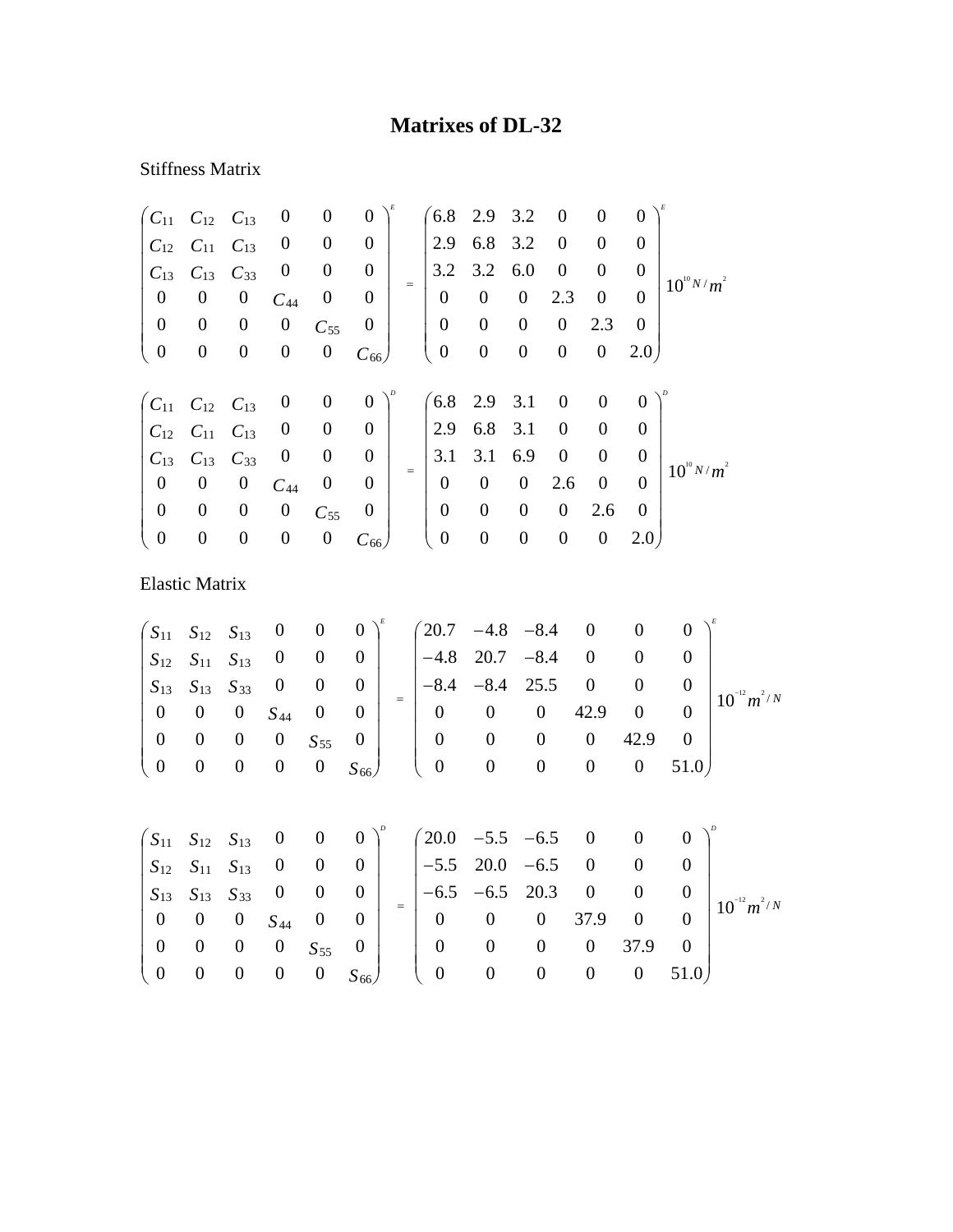## **Matrixes of DL-32**

## Stiffness Matrix

|                                                          | $C_{11}$ $C_{12}$ $C_{13}$ |                  | $\boldsymbol{0}$ | $\boldsymbol{0}$ | $\overline{0}$   |     |                  | $6.8$ 2.9 3.2    |                  | $\overline{0}$   | $\boldsymbol{0}$ | $\Omega$       |                 |
|----------------------------------------------------------|----------------------------|------------------|------------------|------------------|------------------|-----|------------------|------------------|------------------|------------------|------------------|----------------|-----------------|
| $C_{12}$                                                 | $C_{11}$ $C_{13}$          |                  | $\boldsymbol{0}$ | $\boldsymbol{0}$ | $\theta$         |     | 2.9              | 6.8              | 3.2              | $\overline{0}$   | $\Omega$         | $\Omega$       |                 |
| $C_{13}$                                                 | $C_{13}$                   | $C_{33}$         | $\boldsymbol{0}$ | $\boldsymbol{0}$ | $\overline{0}$   |     | 3.2              | 3.2              | 6.0              | $\boldsymbol{0}$ | $\overline{0}$   | $\theta$       | $10^{10} N/m^2$ |
| $\boldsymbol{0}$                                         | $\boldsymbol{0}$           | $\boldsymbol{0}$ | $C_{44}$         | $\boldsymbol{0}$ | $\theta$         | $=$ | $\boldsymbol{0}$ | $\boldsymbol{0}$ | $\overline{0}$   | 2.3              | $\boldsymbol{0}$ | $\Omega$       |                 |
| $\boldsymbol{0}$                                         | $\boldsymbol{0}$           | $\boldsymbol{0}$ | $\boldsymbol{0}$ | $C_{55}$         | $\boldsymbol{0}$ |     | $\boldsymbol{0}$ | $\boldsymbol{0}$ | $\boldsymbol{0}$ | $\boldsymbol{0}$ | 2.3              | $\overline{0}$ |                 |
| $\boldsymbol{0}$                                         | $\boldsymbol{0}$           | $\boldsymbol{0}$ | $\boldsymbol{0}$ | $\boldsymbol{0}$ | $C_{66}$         |     | $\boldsymbol{0}$ | $\boldsymbol{0}$ | $\boldsymbol{0}$ | $\boldsymbol{0}$ | $\boldsymbol{0}$ | 2.0            |                 |
|                                                          |                            |                  |                  |                  |                  |     |                  |                  |                  |                  |                  |                |                 |
| $\begin{pmatrix} C_{11} & C_{12} & C_{13} \end{pmatrix}$ |                            |                  | $\overline{0}$   | $\boldsymbol{0}$ | $\overline{0}$   |     |                  | $6.8$ 2.9 3.1    |                  | $\boldsymbol{0}$ | $\theta$         | $\Omega$       |                 |
|                                                          | $C_{12}$ $C_{11}$ $C_{13}$ |                  | $\boldsymbol{0}$ | $\boldsymbol{0}$ | $\overline{0}$   |     | 2.9              | 6.8 3.1          |                  | $\boldsymbol{0}$ | $\theta$         | $\Omega$       |                 |
| $C_{13}$                                                 | $C_{13}$ $C_{33}$          |                  | $\boldsymbol{0}$ | $\boldsymbol{0}$ | $\boldsymbol{0}$ | $=$ | 3.1              | 3.1              | 6.9              | $\boldsymbol{0}$ | $\boldsymbol{0}$ | $\theta$       | $10^{10} N/m^2$ |
| $\boldsymbol{0}$                                         | $\boldsymbol{0}$           | $\boldsymbol{0}$ | $C_{44}$         | $\boldsymbol{0}$ | $\overline{0}$   |     | $\boldsymbol{0}$ | $\mathbf{0}$     | $\mathbf{0}$     | 2.6              | $\boldsymbol{0}$ | $\Omega$       |                 |
| $\boldsymbol{0}$                                         | $\boldsymbol{0}$           | $\boldsymbol{0}$ | $\boldsymbol{0}$ | $C_{55}$         | $\theta$         |     | $\boldsymbol{0}$ | $\boldsymbol{0}$ | $\theta$         | $\boldsymbol{0}$ | 2.6              | $\overline{0}$ |                 |
| $\boldsymbol{0}$                                         | $\boldsymbol{0}$           | $\boldsymbol{0}$ | $\boldsymbol{0}$ | $\boldsymbol{0}$ | $C_{66}$         |     | $\boldsymbol{0}$ | $\boldsymbol{0}$ | $\boldsymbol{0}$ | $\boldsymbol{0}$ | $\boldsymbol{0}$ | 2.0            |                 |

Elastic Matrix

$$
\begin{pmatrix}\nS_{11} & S_{12} & S_{13} & 0 & 0 & 0 \\
S_{12} & S_{11} & S_{13} & 0 & 0 & 0 \\
S_{13} & S_{13} & S_{33} & 0 & 0 & 0 \\
0 & 0 & 0 & S_{44} & 0 & 0 \\
0 & 0 & 0 & 0 & S_{55} & 0 \\
0 & 0 & 0 & 0 & 0 & S_{66}\n\end{pmatrix} = \begin{pmatrix}\n20.7 & -4.8 & -8.4 & 0 & 0 & 0 \\
-4.8 & 20.7 & -8.4 & 0 & 0 & 0 \\
-8.4 & -8.4 & 25.5 & 0 & 0 & 0 \\
0 & 0 & 0 & 42.9 & 0 & 0 \\
0 & 0 & 0 & 0 & 42.9 & 0 \\
0 & 0 & 0 & 0 & 51.0\n\end{pmatrix}^{p}
$$

| $\begin{pmatrix} S_{11} & S_{12} & S_{13} & 0 & 0 & 0 \end{pmatrix}^p$ $\begin{pmatrix} 20.0 & -5.5 & -6.5 & 0 & 0 & 0 \end{pmatrix}^p$                                       |                  |
|-------------------------------------------------------------------------------------------------------------------------------------------------------------------------------|------------------|
| $\begin{array}{cccc} -5.5 & 20.0 & -6.5 & 0 & 0 \end{array}$<br>$\begin{bmatrix} S_{12} & S_{11} & S_{13} & 0 & 0 & 0 \end{bmatrix}$                                          |                  |
| $\begin{vmatrix} -6.5 & -6.5 & 20.3 & 0 \end{vmatrix}$<br>$\begin{vmatrix} S_{13} & S_{13} & S_{33} & 0 & 0 & 0 \end{vmatrix}$                                                | $10^{-12} m^2/N$ |
| $1 \t0 \t0 \t0 \t S_{44} \t0 \t0$<br>37.9 0<br>$\overline{0}$<br>$\begin{array}{ccc} 0 & 0 \end{array}$                                                                       |                  |
| 37.9<br>$\sim$ 0<br>$\overline{\mathbf{0}}$<br>$\theta$<br>$S_{55}$ 0<br>$\begin{array}{cc} 0 \end{array}$<br>$\theta$                                                        |                  |
| $\begin{pmatrix} 0 & 0 & 0 \end{pmatrix}$<br>$0 \quad 51.0$<br>$\begin{pmatrix} 0 & 0 \end{pmatrix}$<br>$\overline{\phantom{0}}$<br>$\hspace{1.6cm}0$<br>$\bf{0}$<br>$S_{66}$ |                  |